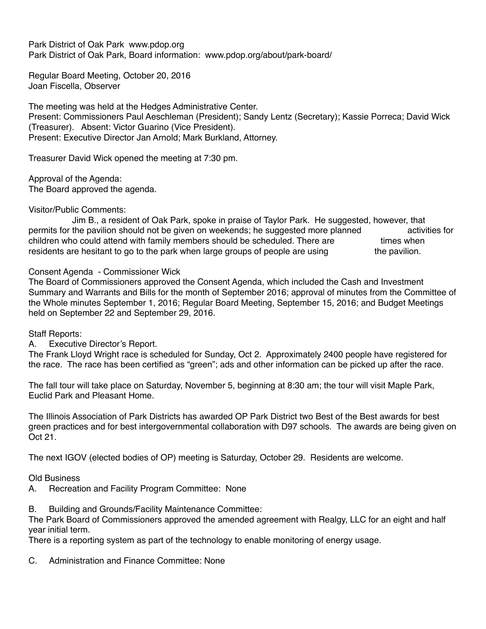Park District of Oak Park www.pdop.org Park District of Oak Park, Board information: www.pdop.org/about/park-board/

Regular Board Meeting, October 20, 2016 Joan Fiscella, Observer

The meeting was held at the Hedges Administrative Center. Present: Commissioners Paul Aeschleman (President); Sandy Lentz (Secretary); Kassie Porreca; David Wick (Treasurer). Absent: Victor Guarino (Vice President). Present: Executive Director Jan Arnold; Mark Burkland, Attorney.

Treasurer David Wick opened the meeting at 7:30 pm.

Approval of the Agenda:

The Board approved the agenda.

Visitor/Public Comments:

 Jim B., a resident of Oak Park, spoke in praise of Taylor Park. He suggested, however, that permits for the pavilion should not be given on weekends; he suggested more planned activities for children who could attend with family members should be scheduled. There are times when residents are hesitant to go to the park when large groups of people are using the pavilion.

Consent Agenda - Commissioner Wick

The Board of Commissioners approved the Consent Agenda, which included the Cash and Investment Summary and Warrants and Bills for the month of September 2016; approval of minutes from the Committee of the Whole minutes September 1, 2016; Regular Board Meeting, September 15, 2016; and Budget Meetings held on September 22 and September 29, 2016.

Staff Reports:

A. Executive Director's Report.

The Frank Lloyd Wright race is scheduled for Sunday, Oct 2. Approximately 2400 people have registered for the race. The race has been certified as "green"; ads and other information can be picked up after the race.

The fall tour will take place on Saturday, November 5, beginning at 8:30 am; the tour will visit Maple Park, Euclid Park and Pleasant Home.

The Illinois Association of Park Districts has awarded OP Park District two Best of the Best awards for best green practices and for best intergovernmental collaboration with D97 schools. The awards are being given on Oct 21.

The next IGOV (elected bodies of OP) meeting is Saturday, October 29. Residents are welcome.

Old Business

A. Recreation and Facility Program Committee: None

B. Building and Grounds/Facility Maintenance Committee:

The Park Board of Commissioners approved the amended agreement with Realgy, LLC for an eight and half year initial term.

There is a reporting system as part of the technology to enable monitoring of energy usage.

C. Administration and Finance Committee: None